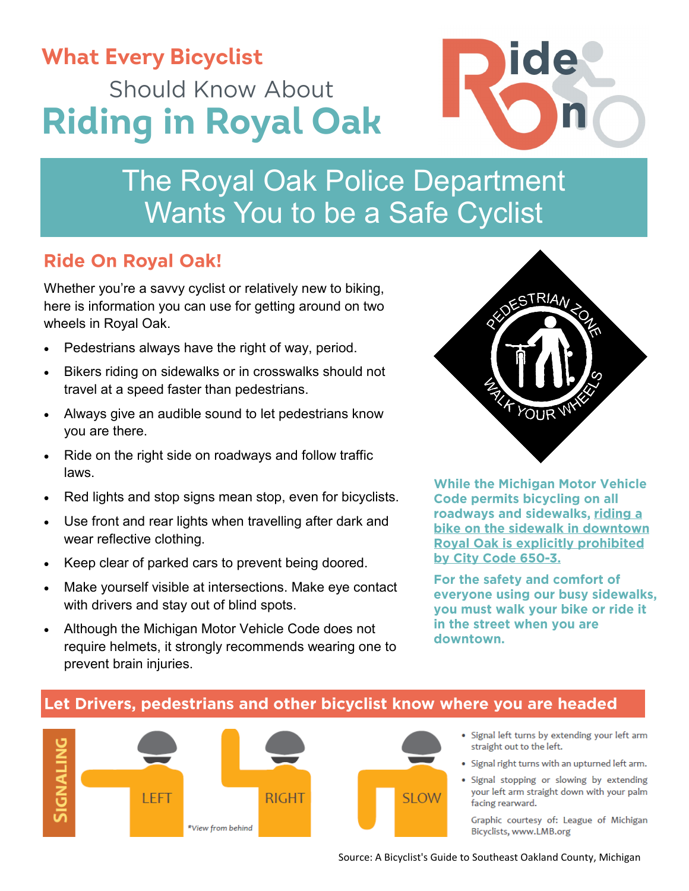# **What Every Bicyclist Should Know About Riding in Royal Oak**

## The Royal Oak Police Department Wants You to be a Safe Cyclist

### **Ride On Royal Oak!**

Whether you're a savvy cyclist or relatively new to biking, here is information you can use for getting around on two wheels in Royal Oak.

- Pedestrians always have the right of way, period.
- Bikers riding on sidewalks or in crosswalks should not travel at a speed faster than pedestrians.
- Always give an audible sound to let pedestrians know you are there.
- Ride on the right side on roadways and follow traffic laws.
- Red lights and stop signs mean stop, even for bicyclists.
- Use front and rear lights when travelling after dark and wear reflective clothing.
- Keep clear of parked cars to prevent being doored.
- Make yourself visible at intersections. Make eye contact with drivers and stay out of blind spots.
- Although the Michigan Motor Vehicle Code does not require helmets, it strongly recommends wearing one to prevent brain injuries.



ide

**While the Michigan Motor Vehicle** Code permits bicycling on all roadways and sidewalks, riding a bike on the sidewalk in downtown **Royal Oak is explicitly prohibited** by City Code 650-3.

For the safety and comfort of everyone using our busy sidewalks, vou must walk your bike or ride it in the street when you are downtown.

#### **NITANDIS LEFT RIGHT SLOW** \*View from behind

et Drivers, pedestrians and other bicyclist know where you are headed

- · Signal left turns by extending your left arm straight out to the left.
- · Signal right turns with an upturned left arm.
- · Signal stopping or slowing by extending your left arm straight down with your palm facing rearward.

Graphic courtesy of: League of Michigan Bicyclists, www.LMB.org

Source: A Bicyclist's Guide to Southeast Oakland County, Michigan